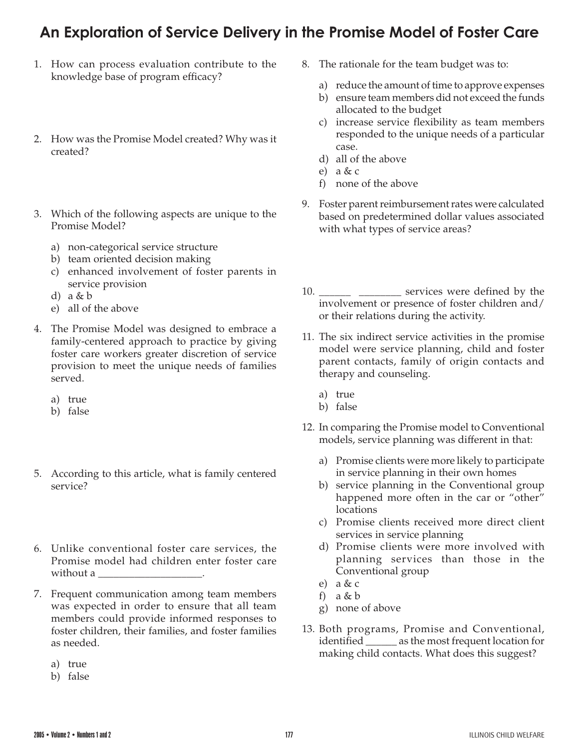## **An Exploration of Service Delivery in the Promise Model of Foster Care**

- 1. How can process evaluation contribute to the knowledge base of program efficacy?
- 2. How was the Promise Model created? Why was it created?
- 3. Which of the following aspects are unique to the Promise Model?
	- a) non-categorical service structure
	- b) team oriented decision making
	- c) enhanced involvement of foster parents in service provision
	- d) a & b
	- e) all of the above
- 4. The Promise Model was designed to embrace a family-centered approach to practice by giving foster care workers greater discretion of service provision to meet the unique needs of families served.
	- a) true
	- b) false
- 5. According to this article, what is family centered service?
- 6. Unlike conventional foster care services, the Promise model had children enter foster care without a \_\_\_\_\_\_\_\_\_\_\_\_\_\_\_\_\_\_\_\_.
- 7. Frequent communication among team members was expected in order to ensure that all team members could provide informed responses to foster children, their families, and foster families as needed.
	- a) true
	- b) false
- 8. The rationale for the team budget was to:
	- a) reduce the amount of time to approve expenses
	- b) ensure team members did not exceed the funds allocated to the budget
	- c) increase service flexibility as team members responded to the unique needs of a particular case.
	- d) all of the above
	- e) a & c
	- f) none of the above
- 9. Foster parent reimbursement rates were calculated based on predetermined dollar values associated with what types of service areas?
- 10. \_\_\_\_\_\_\_\_\_ \_\_\_\_\_\_\_\_\_\_ services were defined by the involvement or presence of foster children and/ or their relations during the activity.
- 11. The six indirect service activities in the promise model were service planning, child and foster parent contacts, family of origin contacts and therapy and counseling.
	- a) true
	- b) false
- 12. In comparing the Promise model to Conventional models, service planning was different in that:
	- a) Promise clients were more likely to participate in service planning in their own homes
	- b) service planning in the Conventional group happened more often in the car or "other" locations
	- c) Promise clients received more direct client services in service planning
	- d) Promise clients were more involved with planning services than those in the Conventional group
	- e)  $a & c$
	- f) a & b
	- g) none of above
- 13. Both programs, Promise and Conventional, identified \_\_\_\_\_\_ as the most frequent location for making child contacts. What does this suggest?